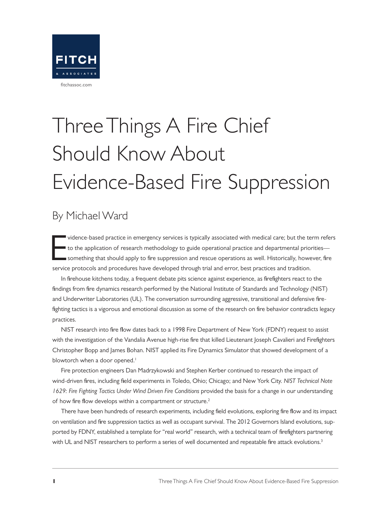

# Three Things A Fire Chief Should Know About Evidence-Based Fire Suppression

### By Michael Ward

E vidence-based practice in emergency services is typically associated with medical care; but the term refers to the application of research methodology to guide operational practice and departmental priorities something that should apply to fire suppression and rescue operations as well. Historically, however, fire service protocols and procedures have developed through trial and error, best practices and tradition.

In firehouse kitchens today, a frequent debate pits science against experience, as firefighters react to the findings from fire dynamics research performed by the National Institute of Standards and Technology (NIST) and Underwriter Laboratories (UL). The conversation surrounding aggressive, transitional and defensive firefighting tactics is a vigorous and emotional discussion as some of the research on fire behavior contradicts legacy practices.

NIST research into fire flow dates back to a 1998 Fire Department of New York (FDNY) request to assist with the investigation of the Vandalia Avenue high-rise fire that killed Lieutenant Joseph Cavalieri and Firefighters Christopher Bopp and James Bohan. NIST applied its Fire Dynamics Simulator that showed development of a blowtorch when a door opened.<sup>1</sup>

Fire protection engineers Dan Madrzykowski and Stephen Kerber continued to research the impact of wind-driven fires, including field experiments in Toledo, Ohio; Chicago; and New York City. *NIST Technical Note 1629: Fire Fighting Tactics Under Wind Driven Fire Conditions* provided the basis for a change in our understanding of how fire flow develops within a compartment or structure.<sup>2</sup>

There have been hundreds of research experiments, including field evolutions, exploring fire flow and its impact on ventilation and fire suppression tactics as well as occupant survival. The 2012 Governors Island evolutions, supported by FDNY, established a template for "real world" research, with a technical team of firefighters partnering with UL and NIST researchers to perform a series of well documented and repeatable fire attack evolutions.<sup>3</sup>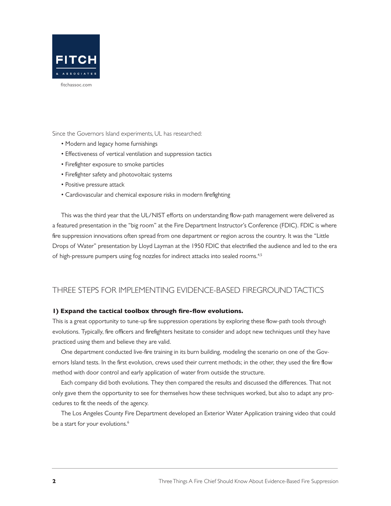

Since the Governors Island experiments, UL has researched:

- Modern and legacy home furnishings
- Effectiveness of vertical ventilation and suppression tactics
- Firefighter exposure to smoke particles
- Firefighter safety and photovoltaic systems
- Positive pressure attack
- Cardiovascular and chemical exposure risks in modern firefighting

This was the third year that the UL/NIST efforts on understanding flow-path management were delivered as a featured presentation in the "big room" at the Fire Department Instructor's Conference (FDIC). FDIC is where fire suppression innovations often spread from one department or region across the country. It was the "Little Drops of Water" presentation by Lloyd Layman at the 1950 FDIC that electrified the audience and led to the era of high-pressure pumpers using fog nozzles for indirect attacks into sealed rooms.<sup>4,5</sup>

#### THREE STEPS FOR IMPLEMENTING EVIDENCE-BASED FIREGROUND TACTICS

#### 1) Expand the tactical toolbox through fire-flow evolutions.

This is a great opportunity to tune-up fire suppression operations by exploring these flow-path tools through evolutions. Typically, fire officers and firefighters hesitate to consider and adopt new techniques until they have practiced using them and believe they are valid.

One department conducted live-fire training in its burn building, modeling the scenario on one of the Governors Island tests. In the first evolution, crews used their current methods; in the other, they used the fire flow method with door control and early application of water from outside the structure.

Each company did both evolutions. They then compared the results and discussed the differences. That not only gave them the opportunity to see for themselves how these techniques worked, but also to adapt any procedures to fit the needs of the agency.

The Los Angeles County Fire Department developed an Exterior Water Application training video that could be a start for your evolutions.<sup>6</sup>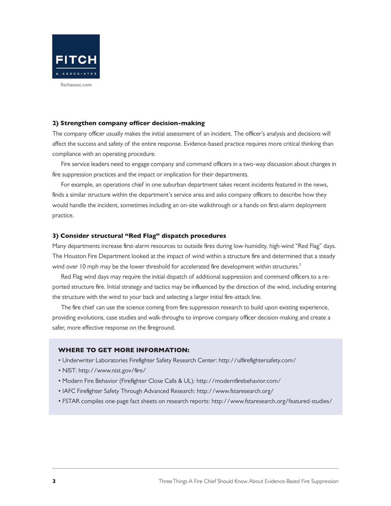

#### 2) Strengthen company officer decision-making

The company officer usually makes the initial assessment of an incident. The officer's analysis and decisions will affect the success and safety of the entire response. Evidence-based practice requires more critical thinking than compliance with an operating procedure.

Fire service leaders need to engage company and command officers in a two-way discussion about changes in fire suppression practices and the impact or implication for their departments.

For example, an operations chief in one suburban department takes recent incidents featured in the news, finds a similar structure within the department's service area and asks company officers to describe how they would handle the incident, sometimes including an on-site walkthrough or a hands-on first-alarm deployment practice.

#### 3) Consider structural "Red Flag" dispatch procedures

Many departments increase first-alarm resources to outside fires during low-humidity, high-wind "Red Flag" days. The Houston Fire Department looked at the impact of wind within a structure fire and determined that a steady wind over 10 mph may be the lower threshold for accelerated fire development within structures.<sup>7</sup>

Red Flag wind days may require the initial dispatch of additional suppression and command officers to a reported structure fire. Initial strategy and tactics may be influenced by the direction of the wind, including entering the structure with the wind to your back and selecting a larger initial fire-attack line.

The fire chief can use the science coming from fire suppression research to build upon existing experience, providing evolutions, case studies and walk-throughs to improve company officer decision-making and create a safer, more effective response on the fireground.

#### WHERE TO GET MORE INFORMATION:

- Underwriter Laboratories Firefighter Safety Research Center: http://ulfirefightersafety.com/
- NIST: http://www.nist.gov/fire/
- Modern Fire Behavior (Firefighter Close Calls & UL): http://modernfirebehavior.com/
- IAFC Firefighter Safety Through Advanced Research: http://www.fstaresearch.org/
- FSTAR compiles one-page fact sheets on research reports: http://www.fstaresearch.org/featured-studies/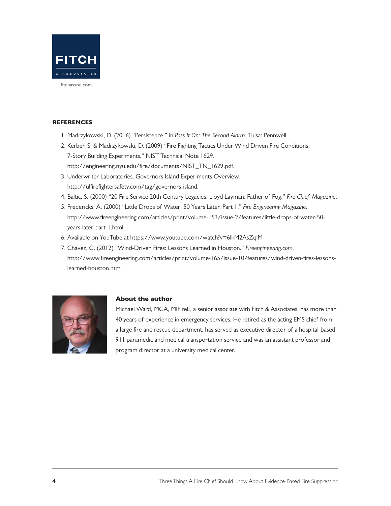

#### **REFERENCES**

- 1. Madrzykowski, D. (2016) "Persistence." in *Pass It On: The Second Alarm*. Tulsa: Pennwell.
- 2. Kerber, S. & Madrzykowski, D. (2009) "Fire Fighting Tactics Under Wind Driven Fire Conditions: 7-Story Building Experiments." NIST Technical Note 1629. http://engineering.nyu.edu/fire/documents/NIST\_TN\_1629.pdf.
- 3. Underwriter Laboratories. Governors Island Experiments Overview. http://ulfirefightersafety.com/tag/governors-island.
- 4. Baltic, S. (2000) "20 Fire Service 20th Century Legacies: Lloyd Layman: Father of Fog." *Fire Chief Magazine*.
- 5. Fredericks, A. (2000) "Little Drops of Water: 50 Years Later, Part 1." *Fire Engineering Magazine*. http://www.fireengineering.com/articles/print/volume-153/issue-2/features/little-drops-of-water-50 years-later-part-1.html.
- 6. Available on YouTube at https://www.youtube.com/watch?v=6lkM2AsZqlM
- 7. Chavez, C. (2012) "Wind-Driven Fires: Lessons Learned in Houston." *Fireengineering.com*. http://www.fireengineering.com/articles/print/volume-165/issue-10/features/wind-driven-fires-lessonslearned-houston.html



#### About the author

Michael Ward, MGA, MIFireE, a senior associate with Fitch & Associates, has more than 40 years of experience in emergency services. He retired as the acting EMS chief from a large fire and rescue department, has served as executive director of a hospital-based 911 paramedic and medical transportation service and was an assistant professor and program director at a university medical center.